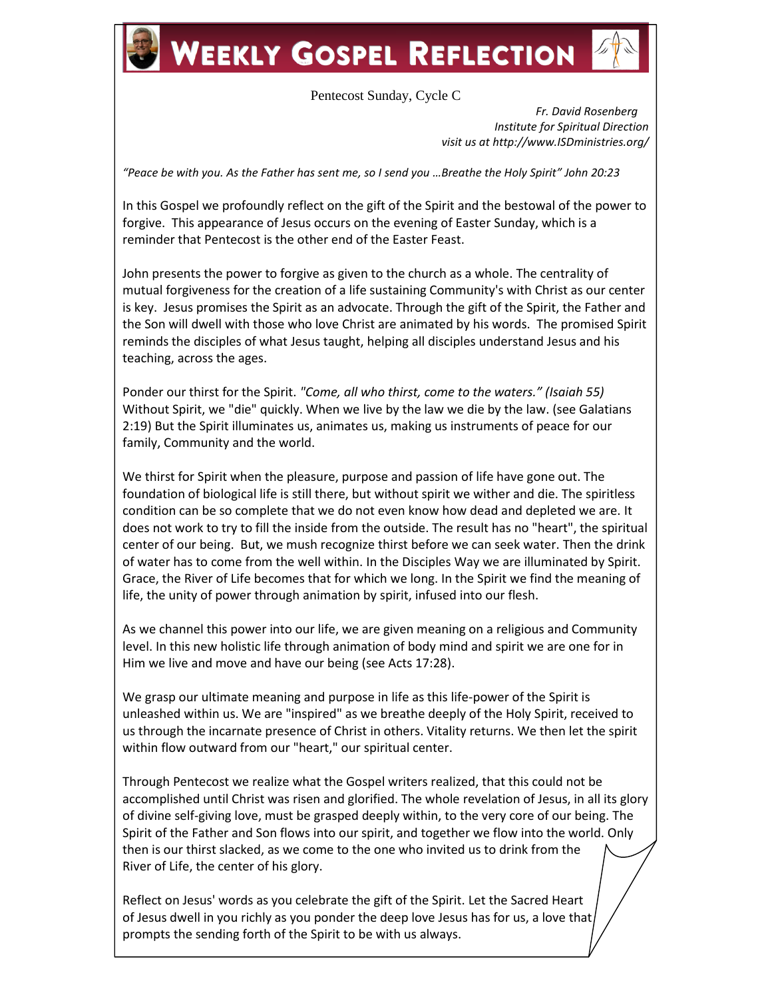## **WEEKLY GOSPEL REFLECTION**

## Pentecost Sunday, Cycle C

 *Fr. David Rosenberg Institute for Spiritual Direction visit us at http://www.ISDministries.org/*

*"Peace be with you. As the Father has sent me, so I send you …Breathe the Holy Spirit" John 20:23*

In this Gospel we profoundly reflect on the gift of the Spirit and the bestowal of the power to forgive. This appearance of Jesus occurs on the evening of Easter Sunday, which is a reminder that Pentecost is the other end of the Easter Feast.

John presents the power to forgive as given to the church as a whole. The centrality of mutual forgiveness for the creation of a life sustaining Community's with Christ as our center is key. Jesus promises the Spirit as an advocate. Through the gift of the Spirit, the Father and the Son will dwell with those who love Christ are animated by his words. The promised Spirit reminds the disciples of what Jesus taught, helping all disciples understand Jesus and his teaching, across the ages.

Ponder our thirst for the Spirit. *"Come, all who thirst, come to the waters." (Isaiah 55)* Without Spirit, we "die" quickly. When we live by the law we die by the law. (see Galatians 2:19) But the Spirit illuminates us, animates us, making us instruments of peace for our family, Community and the world.

We thirst for Spirit when the pleasure, purpose and passion of life have gone out. The foundation of biological life is still there, but without spirit we wither and die. The spiritless condition can be so complete that we do not even know how dead and depleted we are. It does not work to try to fill the inside from the outside. The result has no "heart", the spiritual center of our being. But, we mush recognize thirst before we can seek water. Then the drink of water has to come from the well within. In the Disciples Way we are illuminated by Spirit. Grace, the River of Life becomes that for which we long. In the Spirit we find the meaning of life, the unity of power through animation by spirit, infused into our flesh.

As we channel this power into our life, we are given meaning on a religious and Community level. In this new holistic life through animation of body mind and spirit we are one for in Him we live and move and have our being (see Acts 17:28).

We grasp our ultimate meaning and purpose in life as this life-power of the Spirit is unleashed within us. We are "inspired" as we breathe deeply of the Holy Spirit, received to us through the incarnate presence of Christ in others. Vitality returns. We then let the spirit within flow outward from our "heart," our spiritual center.

Through Pentecost we realize what the Gospel writers realized, that this could not be accomplished until Christ was risen and glorified. The whole revelation of Jesus, in all its glory of divine self-giving love, must be grasped deeply within, to the very core of our being. The Spirit of the Father and Son flows into our spirit, and together we flow into the world. Only then is our thirst slacked, as we come to the one who invited us to drink from the River of Life, the center of his glory.

Reflect on Jesus' words as you celebrate the gift of the Spirit. Let the Sacred Heart of Jesus dwell in you richly as you ponder the deep love Jesus has for us, a love that prompts the sending forth of the Spirit to be with us always.